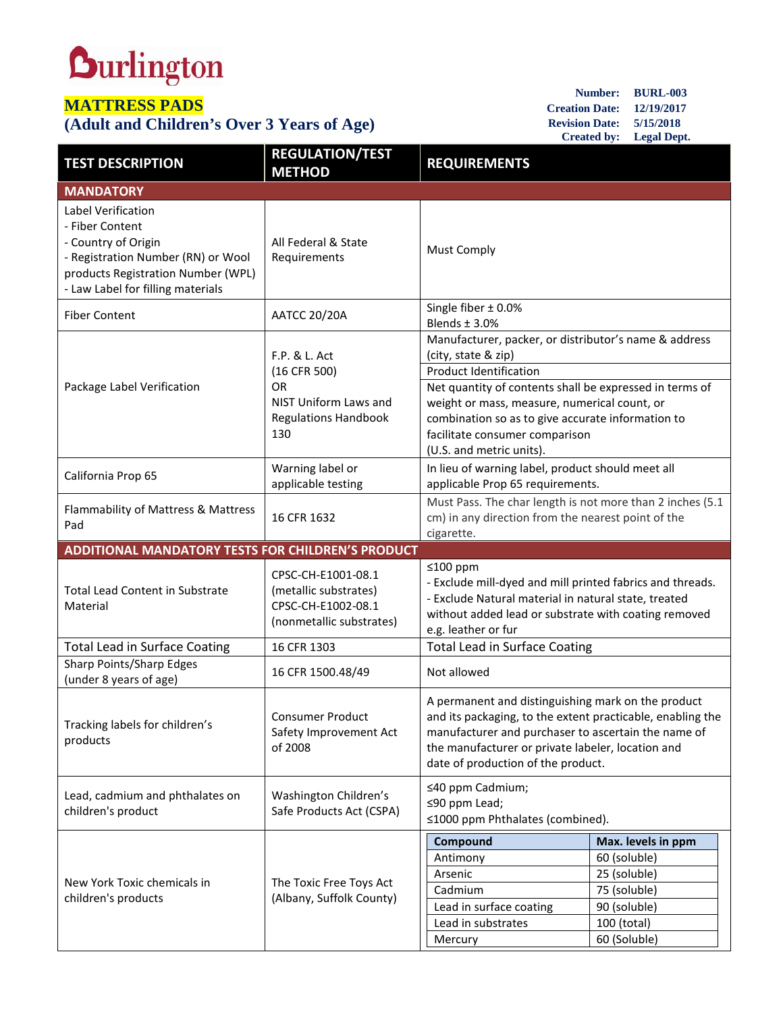## **Durlington**

## **MATTRESS PADS**

## **(Adult and Children's Over 3 Years of Age)**

**Number: BURL-003 Creation Date: 12/19/2017 Revision Date: 5/15/2018 Created by: Legal Dept.**

| <b>TEST DESCRIPTION</b>                                                                                                                                                       | <b>REGULATION/TEST</b><br><b>METHOD</b>                                                                   | <b>REQUIREMENTS</b>                                                                                                                                                                                                                                                                                                                         |                                                                                                                   |  |
|-------------------------------------------------------------------------------------------------------------------------------------------------------------------------------|-----------------------------------------------------------------------------------------------------------|---------------------------------------------------------------------------------------------------------------------------------------------------------------------------------------------------------------------------------------------------------------------------------------------------------------------------------------------|-------------------------------------------------------------------------------------------------------------------|--|
| <b>MANDATORY</b>                                                                                                                                                              |                                                                                                           |                                                                                                                                                                                                                                                                                                                                             |                                                                                                                   |  |
| Label Verification<br>- Fiber Content<br>- Country of Origin<br>- Registration Number (RN) or Wool<br>products Registration Number (WPL)<br>- Law Label for filling materials | All Federal & State<br>Requirements                                                                       | <b>Must Comply</b>                                                                                                                                                                                                                                                                                                                          |                                                                                                                   |  |
| <b>Fiber Content</b>                                                                                                                                                          | <b>AATCC 20/20A</b>                                                                                       | Single fiber $\pm$ 0.0%<br>Blends $\pm$ 3.0%                                                                                                                                                                                                                                                                                                |                                                                                                                   |  |
| Package Label Verification                                                                                                                                                    | F.P. & L. Act<br>(16 CFR 500)<br><b>OR</b><br>NIST Uniform Laws and<br><b>Regulations Handbook</b><br>130 | Manufacturer, packer, or distributor's name & address<br>(city, state & zip)<br><b>Product Identification</b><br>Net quantity of contents shall be expressed in terms of<br>weight or mass, measure, numerical count, or<br>combination so as to give accurate information to<br>facilitate consumer comparison<br>(U.S. and metric units). |                                                                                                                   |  |
| California Prop 65                                                                                                                                                            | Warning label or<br>applicable testing                                                                    | In lieu of warning label, product should meet all<br>applicable Prop 65 requirements.                                                                                                                                                                                                                                                       |                                                                                                                   |  |
| Flammability of Mattress & Mattress<br>Pad                                                                                                                                    | 16 CFR 1632                                                                                               | Must Pass. The char length is not more than 2 inches (5.1<br>cm) in any direction from the nearest point of the<br>cigarette.                                                                                                                                                                                                               |                                                                                                                   |  |
| <b>ADDITIONAL MANDATORY TESTS FOR CHILDREN'S PRODUCT</b>                                                                                                                      |                                                                                                           |                                                                                                                                                                                                                                                                                                                                             |                                                                                                                   |  |
| <b>Total Lead Content in Substrate</b><br>Material                                                                                                                            | CPSC-CH-E1001-08.1<br>(metallic substrates)<br>CPSC-CH-E1002-08.1<br>(nonmetallic substrates)             | $≤100$ ppm<br>- Exclude mill-dyed and mill printed fabrics and threads.<br>- Exclude Natural material in natural state, treated<br>without added lead or substrate with coating removed<br>e.g. leather or fur                                                                                                                              |                                                                                                                   |  |
| <b>Total Lead in Surface Coating</b>                                                                                                                                          | 16 CFR 1303                                                                                               | <b>Total Lead in Surface Coating</b>                                                                                                                                                                                                                                                                                                        |                                                                                                                   |  |
| Sharp Points/Sharp Edges<br>(under 8 years of age)                                                                                                                            | 16 CFR 1500.48/49                                                                                         | Not allowed                                                                                                                                                                                                                                                                                                                                 |                                                                                                                   |  |
| Tracking labels for children's<br>products                                                                                                                                    | <b>Consumer Product</b><br>Safety Improvement Act<br>of 2008                                              | A permanent and distinguishing mark on the product<br>and its packaging, to the extent practicable, enabling the<br>manufacturer and purchaser to ascertain the name of<br>the manufacturer or private labeler, location and<br>date of production of the product.                                                                          |                                                                                                                   |  |
| Lead, cadmium and phthalates on<br>children's product                                                                                                                         | Washington Children's<br>Safe Products Act (CSPA)                                                         | ≤40 ppm Cadmium;<br>≤90 ppm Lead;<br>≤1000 ppm Phthalates (combined).                                                                                                                                                                                                                                                                       |                                                                                                                   |  |
| New York Toxic chemicals in<br>children's products                                                                                                                            | The Toxic Free Toys Act<br>(Albany, Suffolk County)                                                       | Compound<br>Antimony<br>Arsenic<br>Cadmium<br>Lead in surface coating<br>Lead in substrates<br>Mercury                                                                                                                                                                                                                                      | Max. levels in ppm<br>60 (soluble)<br>25 (soluble)<br>75 (soluble)<br>90 (soluble)<br>100 (total)<br>60 (Soluble) |  |